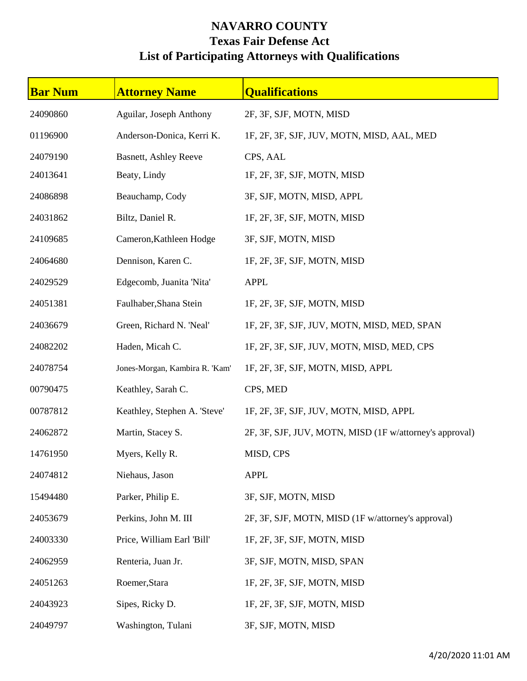## **NAVARRO COUNTY Texas Fair Defense Act List of Participating Attorneys with Qualifications**

| <b>Bar Num</b> | <b>Attorney Name</b>           | <b>Qualifications</b>                                   |
|----------------|--------------------------------|---------------------------------------------------------|
| 24090860       | Aguilar, Joseph Anthony        | 2F, 3F, SJF, MOTN, MISD                                 |
| 01196900       | Anderson-Donica, Kerri K.      | 1F, 2F, 3F, SJF, JUV, MOTN, MISD, AAL, MED              |
| 24079190       | <b>Basnett, Ashley Reeve</b>   | CPS, AAL                                                |
| 24013641       | Beaty, Lindy                   | 1F, 2F, 3F, SJF, MOTN, MISD                             |
| 24086898       | Beauchamp, Cody                | 3F, SJF, MOTN, MISD, APPL                               |
| 24031862       | Biltz, Daniel R.               | 1F, 2F, 3F, SJF, MOTN, MISD                             |
| 24109685       | Cameron, Kathleen Hodge        | 3F, SJF, MOTN, MISD                                     |
| 24064680       | Dennison, Karen C.             | 1F, 2F, 3F, SJF, MOTN, MISD                             |
| 24029529       | Edgecomb, Juanita 'Nita'       | <b>APPL</b>                                             |
| 24051381       | Faulhaber, Shana Stein         | 1F, 2F, 3F, SJF, MOTN, MISD                             |
| 24036679       | Green, Richard N. 'Neal'       | 1F, 2F, 3F, SJF, JUV, MOTN, MISD, MED, SPAN             |
| 24082202       | Haden, Micah C.                | 1F, 2F, 3F, SJF, JUV, MOTN, MISD, MED, CPS              |
| 24078754       | Jones-Morgan, Kambira R. 'Kam' | 1F, 2F, 3F, SJF, MOTN, MISD, APPL                       |
| 00790475       | Keathley, Sarah C.             | CPS, MED                                                |
| 00787812       | Keathley, Stephen A. 'Steve'   | 1F, 2F, 3F, SJF, JUV, MOTN, MISD, APPL                  |
| 24062872       | Martin, Stacey S.              | 2F, 3F, SJF, JUV, MOTN, MISD (1F w/attorney's approval) |
| 14761950       | Myers, Kelly R.                | MISD, CPS                                               |
| 24074812       | Niehaus, Jason                 | <b>APPL</b>                                             |
| 15494480       | Parker, Philip E.              | 3F, SJF, MOTN, MISD                                     |
| 24053679       | Perkins, John M. III           | 2F, 3F, SJF, MOTN, MISD (1F w/attorney's approval)      |
| 24003330       | Price, William Earl 'Bill'     | 1F, 2F, 3F, SJF, MOTN, MISD                             |
| 24062959       | Renteria, Juan Jr.             | 3F, SJF, MOTN, MISD, SPAN                               |
| 24051263       | Roemer, Stara                  | 1F, 2F, 3F, SJF, MOTN, MISD                             |
| 24043923       | Sipes, Ricky D.                | 1F, 2F, 3F, SJF, MOTN, MISD                             |
| 24049797       | Washington, Tulani             | 3F, SJF, MOTN, MISD                                     |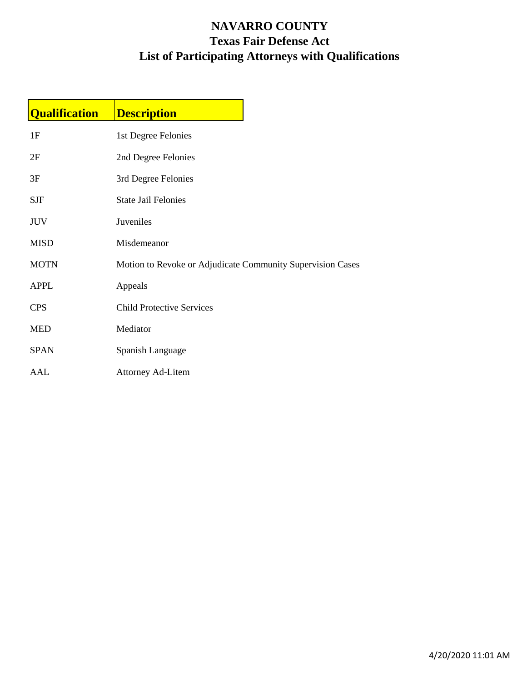## **NAVARRO COUNTY Texas Fair Defense Act List of Participating Attorneys with Qualifications**

| <b>Qualification</b> | <b>Description</b>                                         |  |
|----------------------|------------------------------------------------------------|--|
| 1F                   | 1st Degree Felonies                                        |  |
| 2F                   | 2nd Degree Felonies                                        |  |
| 3F                   | 3rd Degree Felonies                                        |  |
| $\operatorname{SJF}$ | <b>State Jail Felonies</b>                                 |  |
| <b>JUV</b>           | Juveniles                                                  |  |
| <b>MISD</b>          | Misdemeanor                                                |  |
| <b>MOTN</b>          | Motion to Revoke or Adjudicate Community Supervision Cases |  |
| <b>APPL</b>          | Appeals                                                    |  |
| <b>CPS</b>           | <b>Child Protective Services</b>                           |  |
| <b>MED</b>           | Mediator                                                   |  |
| <b>SPAN</b>          | Spanish Language                                           |  |
| AAL                  | <b>Attorney Ad-Litem</b>                                   |  |